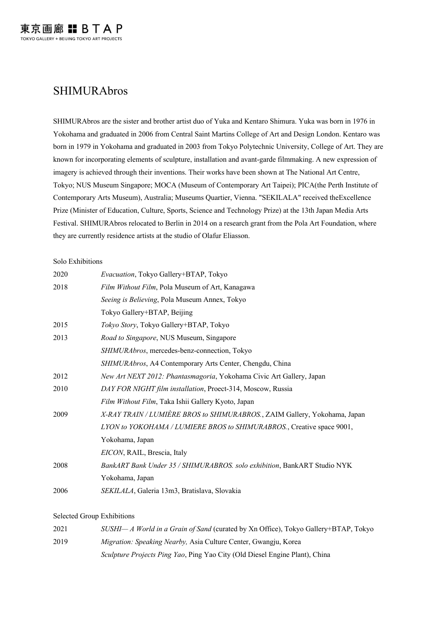# SHIMURAbros

SHIMURAbros are the sister and brother artist duo of Yuka and Kentaro Shimura. Yuka was born in 1976 in Yokohama and graduated in 2006 from Central Saint Martins College of Art and Design London. Kentaro was born in 1979 in Yokohama and graduated in 2003 from Tokyo Polytechnic University, College of Art. They are known for incorporating elements of sculpture, installation and avant-garde filmmaking. A new expression of imagery is achieved through their inventions. Their works have been shown at The National Art Centre, Tokyo; NUS Museum Singapore; MOCA (Museum of Contemporary Art Taipei); PICA(the Perth Institute of Contemporary Arts Museum), Australia; Museums Quartier, Vienna. "SEKILALA" received theExcellence Prize (Minister of Education, Culture, Sports, Science and Technology Prize) at the 13th Japan Media Arts Festival. SHIMURAbros relocated to Berlin in 2014 on a research grant from the Pola Art Foundation, where they are currently residence artists at the studio of Olafur Eliasson.

#### Solo Exhibitions

| 2020 | Evacuation, Tokyo Gallery+BTAP, Tokyo                                     |
|------|---------------------------------------------------------------------------|
| 2018 | Film Without Film, Pola Museum of Art, Kanagawa                           |
|      | Seeing is Believing, Pola Museum Annex, Tokyo                             |
|      | Tokyo Gallery+BTAP, Beijing                                               |
| 2015 | Tokyo Story, Tokyo Gallery+BTAP, Tokyo                                    |
| 2013 | Road to Singapore, NUS Museum, Singapore                                  |
|      | SHIMURAbros, mercedes-benz-connection, Tokyo                              |
|      | SHIMURAbros, A4 Contemporary Arts Center, Chengdu, China                  |
| 2012 | New Art NEXT 2012: Phantasmagoria, Yokohama Civic Art Gallery, Japan      |
| 2010 | DAY FOR NIGHT film installation, Proect-314, Moscow, Russia               |
|      | Film Without Film, Taka Ishii Gallery Kyoto, Japan                        |
| 2009 | X-RAY TRAIN / LUMIÈRE BROS to SHIMURABROS., ZAIM Gallery, Yokohama, Japan |
|      | LYON to YOKOHAMA / LUMIERE BROS to SHIMURABROS., Creative space 9001,     |
|      | Yokohama, Japan                                                           |
|      | EICON, RAIL, Brescia, Italy                                               |
| 2008 | BankART Bank Under 35 / SHIMURABROS. solo exhibition, BankART Studio NYK  |
|      | Yokohama, Japan                                                           |
| 2006 | SEKILALA, Galeria 13m3, Bratislava, Slovakia                              |

#### Selected Group Exhibitions

| 2021 | $SUSHI - A$ World in a Grain of Sand (curated by Xn Office), Tokyo Gallery+BTAP, Tokyo |
|------|----------------------------------------------------------------------------------------|
| 2019 | <i>Migration: Speaking Nearby, Asia Culture Center, Gwangju, Korea</i>                 |
|      | <i>Sculpture Projects Ping Yao</i> , Ping Yao City (Old Diesel Engine Plant), China    |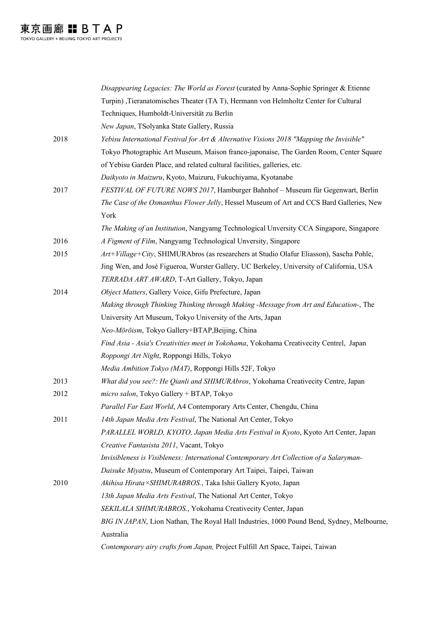|      | Disappearing Legacies: The World as Forest (curated by Anna-Sophie Springer & Etienne     |
|------|-------------------------------------------------------------------------------------------|
|      | Turpin), Tieranatomisches Theater (TAT), Hermann von Helmholtz Center for Cultural        |
|      | Techniques, Humboldt-Universität zu Berlin                                                |
|      | New Japan, TSolyanka State Gallery, Russia                                                |
| 2018 | Yebisu International Festival for Art & Alternative Visions 2018 "Mapping the Invisible"  |
|      | Tokyo Photographic Art Museum, Maison franco-japonaise, The Garden Room, Center Square    |
|      | of Yebisu Garden Place, and related cultural facilities, galleries, etc.                  |
|      | Daikyoto in Maizuru, Kyoto, Maizuru, Fukuchiyama, Kyotanabe                               |
| 2017 | FESTIVAL OF FUTURE NOWS 2017, Hamburger Bahnhof - Museum für Gegenwart, Berlin            |
|      | The Case of the Osmanthus Flower Jelly, Hessel Museum of Art and CCS Bard Galleries, New  |
|      | York                                                                                      |
|      | The Making of an Institution, Nangyamg Technological Unversity CCA Singapore, Singapore   |
| 2016 | A Figment of Film, Nangyamg Technological Unversity, Singapore                            |
| 2015 | Art+Village+City, SHIMURAbros (as researchers at Studio Olafur Eliasson), Sascha Pohle,   |
|      | Jing Wen, and José Figueroa, Wurster Gallery, UC Berkeley, University of California, USA  |
|      | TERRADA ART AWARD, T-Art Gallery, Tokyo, Japan                                            |
| 2014 | Object Matters, Gallery Voice, Gifu Prefecture, Japan                                     |
|      | Making through Thinking Thinking through Making -Message from Art and Education-, The     |
|      | University Art Museum, Tokyo University of the Arts, Japan                                |
|      | Neo-Mōrōism, Tokyo Gallery+BTAP, Beijing, China                                           |
|      | Find Asia - Asia's Creativities meet in Yokohama, Yokohama Creativecity Centrel, Japan    |
|      | Roppongi Art Night, Roppongi Hills, Tokyo                                                 |
|      | Media Ambition Tokyo (MAT), Roppongi Hills 52F, Tokyo                                     |
| 2013 | What did you see?: He Qianli and SHIMURAbros, Yokohama Creativecity Centre, Japan         |
| 2012 | micro salon, Tokyo Gallery + BTAP, Tokyo                                                  |
|      | Parallel Far East World, A4 Contemporary Arts Center, Chengdu, China                      |
| 2011 | 14th Japan Media Arts Festival, The National Art Center, Tokyo                            |
|      | PARALLEL WORLD, KYOTO, Japan Media Arts Festival in Kyoto, Kyoto Art Center, Japan        |
|      | Creative Fantasista 2011, Vacant, Tokyo                                                   |
|      | Invisibleness is Visibleness: International Contemporary Art Collection of a Salaryman-   |
|      | Daisuke Miyatsu, Museum of Contemporary Art Taipei, Taipei, Taiwan                        |
| 2010 | Akihisa Hirata × SHIMURABROS., Taka Ishii Gallery Kyoto, Japan                            |
|      | 13th Japan Media Arts Festival, The National Art Center, Tokyo                            |
|      | SEKILALA SHIMURABROS., Yokohama Creativecity Center, Japan                                |
|      | BIG IN JAPAN, Lion Nathan, The Royal Hall Industries, 1000 Pound Bend, Sydney, Melbourne, |
|      | Australia                                                                                 |
|      | Contemporary airy crafts from Japan, Project Fulfill Art Space, Taipei, Taiwan            |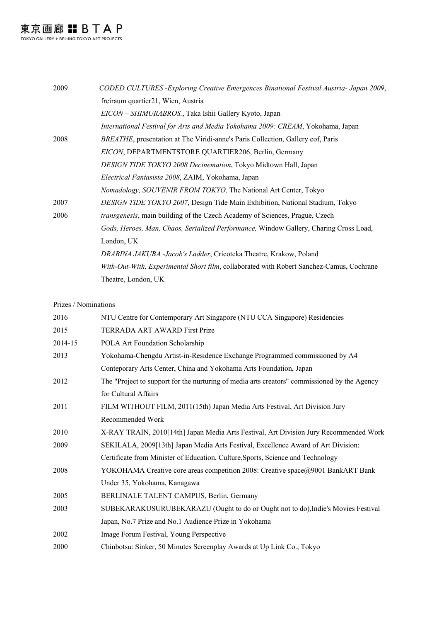東京画廊 H B T A P

| CODED CULTURES - Exploring Creative Emergences Binational Festival Austria- Japan 2009,  |
|------------------------------------------------------------------------------------------|
| freiraum quartier21, Wien, Austria                                                       |
| EICON – SHIMURABROS., Taka Ishii Gallery Kyoto, Japan                                    |
| International Festival for Arts and Media Yokohama 2009: CREAM, Yokohama, Japan          |
| BREATHE, presentation at The Viridi-anne's Paris Collection, Gallery eof, Paris          |
| EICON, DEPARTMENTSTORE QUARTIER206, Berlin, Germany                                      |
| DESIGN TIDE TOKYO 2008 Decinemation, Tokyo Midtown Hall, Japan                           |
| <i>Electrical Fantasista 2008, ZAIM, Yokohama, Japan</i>                                 |
| Nomadology, SOUVENIR FROM TOKYO, The National Art Center, Tokyo                          |
| DESIGN TIDE TOKYO 2007, Design Tide Main Exhibition, National Stadium, Tokyo             |
| <i>transgenesis</i> , main building of the Czech Academy of Sciences, Prague, Czech      |
| Gods, Heroes, Man, Chaos, Serialized Performance, Window Gallery, Charing Cross Load,    |
| London, UK                                                                               |
| DRABINA JAKUBA -Jacob's Ladder, Cricoteka Theatre, Krakow, Poland                        |
| With-Out-With, Experimental Short film, collaborated with Robert Sanchez-Camus, Cochrane |
| Theatre, London, UK                                                                      |
|                                                                                          |

### Prizes / Nominations

| 2016    | NTU Centre for Contemporary Art Singapore (NTU CCA Singapore) Residencies                    |
|---------|----------------------------------------------------------------------------------------------|
| 2015    | TERRADA ART AWARD First Prize                                                                |
| 2014-15 | POLA Art Foundation Scholarship                                                              |
| 2013    | Yokohama-Chengdu Artist-in-Residence Exchange Programmed commissioned by A4                  |
|         | Conteporary Arts Center, China and Yokohama Arts Foundation, Japan                           |
| 2012    | The "Project to support for the nurturing of media arts creators" commissioned by the Agency |
|         | for Cultural Affairs                                                                         |
| 2011    | FILM WITHOUT FILM, 2011(15th) Japan Media Arts Festival, Art Division Jury                   |
|         | Recommended Work                                                                             |
| 2010    | X-RAY TRAIN, 2010[14th] Japan Media Arts Festival, Art Division Jury Recommended Work        |
| 2009    | SEKILALA, 2009[13th] Japan Media Arts Festival, Excellence Award of Art Division:            |
|         | Certificate from Minister of Education, Culture, Sports, Science and Technology              |
| 2008    | YOKOHAMA Creative core areas competition 2008: Creative space@9001 BankART Bank              |
|         | Under 35, Yokohama, Kanagawa                                                                 |
| 2005    | BERLINALE TALENT CAMPUS, Berlin, Germany                                                     |
| 2003    | SUBEKARAKUSURUBEKARAZU (Ought to do or Ought not to do), Indie's Movies Festival             |
|         | Japan, No.7 Prize and No.1 Audience Prize in Yokohama                                        |
| 2002    | Image Forum Festival, Young Perspective                                                      |
| 2000    | Chinbotsu: Sinker, 50 Minutes Screenplay Awards at Up Link Co., Tokyo                        |